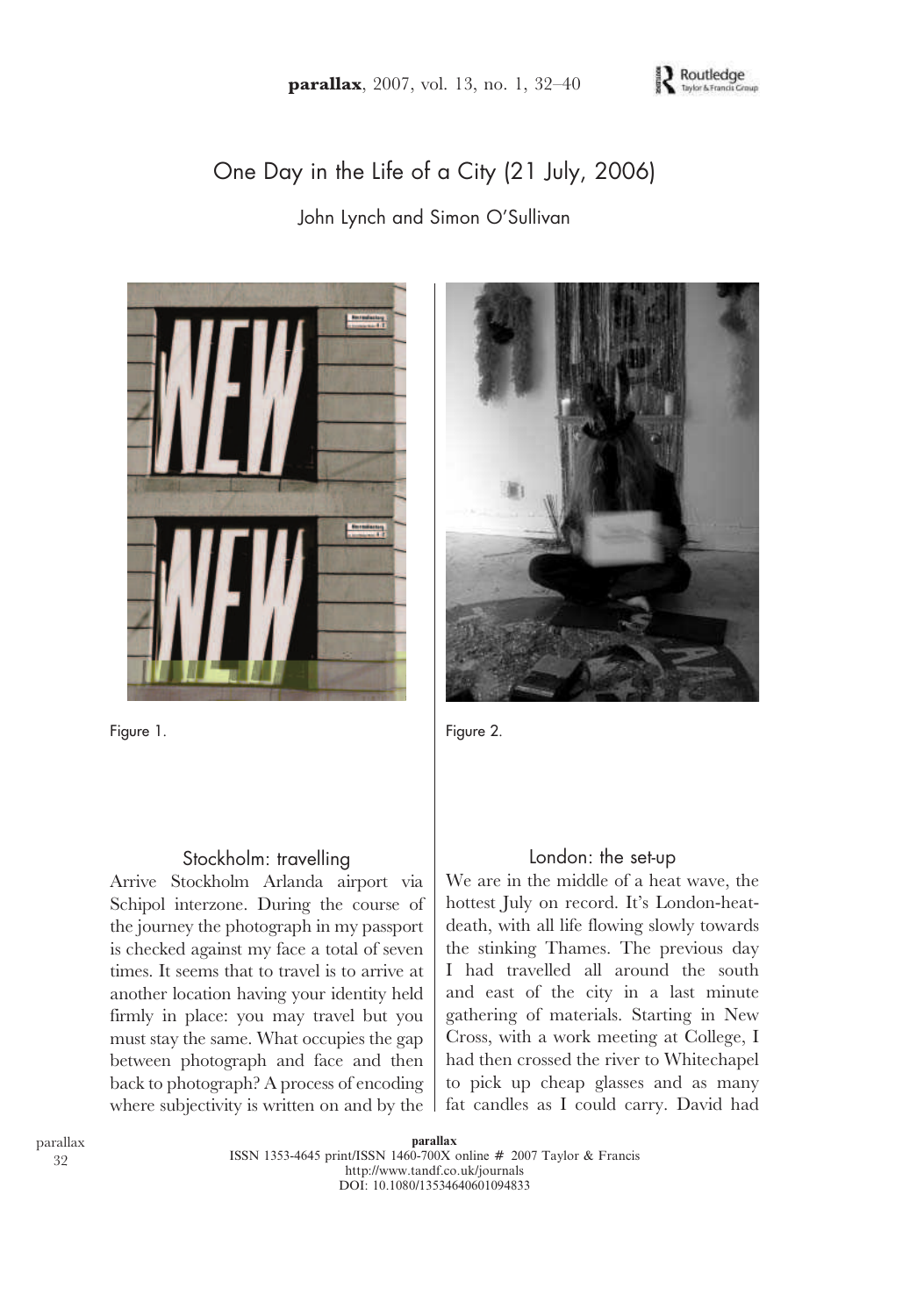

# One Day in the Life of a City (21 July, 2006)

John Lynch and Simon O'Sullivan



Figure 1.



#### Stockholm: travelling

Arrive Stockholm Arlanda airport via Schipol interzone. During the course of the journey the photograph in my passport is checked against my face a total of seven times. It seems that to travel is to arrive at another location having your identity held firmly in place: you may travel but you must stay the same. What occupies the gap between photograph and face and then back to photograph? A process of encoding where subjectivity is written on and by the

#### London: the set-up

We are in the middle of a heat wave, the hottest July on record. It's London-heatdeath, with all life flowing slowly towards the stinking Thames. The previous day I had travelled all around the south and east of the city in a last minute gathering of materials. Starting in New Cross, with a work meeting at College, I had then crossed the river to Whitechapel to pick up cheap glasses and as many fat candles as I could carry. David had

parallax ISSN 1353-4645 print/ISSN 1460-700X online *#* 2007 Taylor & Francis http://www.tandf.co.uk/journals DOI: 10.1080/13534640601094833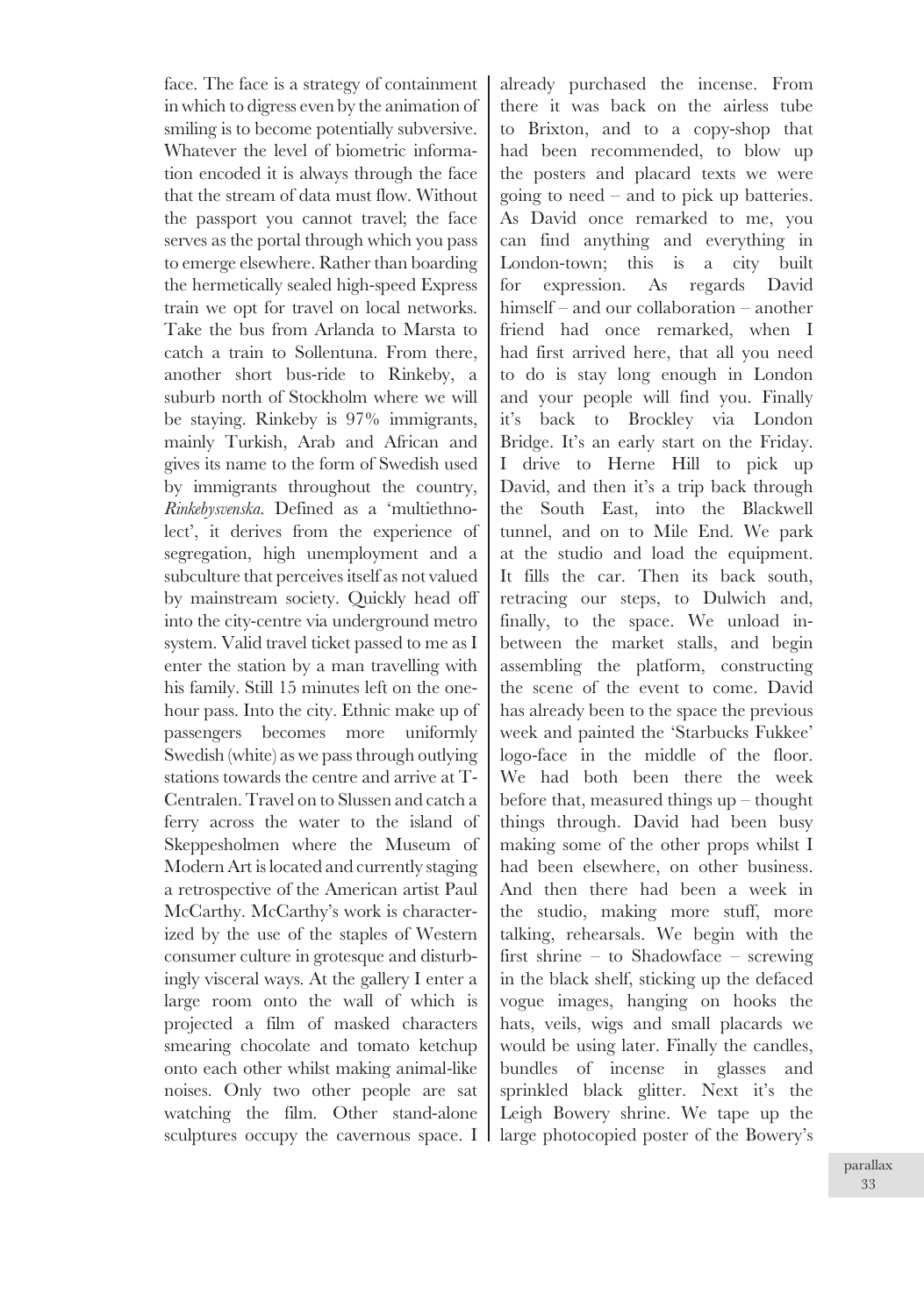face. The face is a strategy of containment in which to digress even by the animation of smiling is to become potentially subversive. Whatever the level of biometric information encoded it is always through the face that the stream of data must flow. Without the passport you cannot travel; the face serves as the portal through which you pass to emerge elsewhere. Rather than boarding the hermetically sealed high-speed Express train we opt for travel on local networks. Take the bus from Arlanda to Marsta to catch a train to Sollentuna. From there, another short bus-ride to Rinkeby, a suburb north of Stockholm where we will be staying. Rinkeby is 97% immigrants, mainly Turkish, Arab and African and gives its name to the form of Swedish used by immigrants throughout the country, Rinkebysvenska. Defined as a 'multiethnolect', it derives from the experience of segregation, high unemployment and a subculture that perceives itself as not valued by mainstream society. Quickly head off into the city-centre via underground metro system. Valid travel ticket passed to me as I enter the station by a man travelling with his family. Still 15 minutes left on the onehour pass. Into the city. Ethnic make up of passengers becomes more uniformly Swedish (white) as we pass through outlying stations towards the centre and arrive at T-Centralen. Travel on to Slussen and catch a ferry across the water to the island of Skeppesholmen where the Museum of Modern Art is located and currently staging a retrospective of the American artist Paul McCarthy. McCarthy's work is characterized by the use of the staples of Western consumer culture in grotesque and disturbingly visceral ways. At the gallery I enter a large room onto the wall of which is projected a film of masked characters smearing chocolate and tomato ketchup onto each other whilst making animal-like noises. Only two other people are sat watching the film. Other stand-alone sculptures occupy the cavernous space. I already purchased the incense. From there it was back on the airless tube to Brixton, and to a copy-shop that had been recommended, to blow up the posters and placard texts we were going to need – and to pick up batteries. As David once remarked to me, you can find anything and everything in London-town; this is a city built for expression. As regards David himself – and our collaboration – another friend had once remarked, when I had first arrived here, that all you need to do is stay long enough in London and your people will find you. Finally it's back to Brockley via London Bridge. It's an early start on the Friday. I drive to Herne Hill to pick up David, and then it's a trip back through the South East, into the Blackwell tunnel, and on to Mile End. We park at the studio and load the equipment. It fills the car. Then its back south, retracing our steps, to Dulwich and, finally, to the space. We unload inbetween the market stalls, and begin assembling the platform, constructing the scene of the event to come. David has already been to the space the previous week and painted the 'Starbucks Fukkee' logo-face in the middle of the floor. We had both been there the week before that, measured things up – thought things through. David had been busy making some of the other props whilst I had been elsewhere, on other business. And then there had been a week in the studio, making more stuff, more talking, rehearsals. We begin with the first shrine – to Shadowface – screwing in the black shelf, sticking up the defaced vogue images, hanging on hooks the hats, veils, wigs and small placards we would be using later. Finally the candles, bundles of incense in glasses and sprinkled black glitter. Next it's the Leigh Bowery shrine. We tape up the large photocopied poster of the Bowery's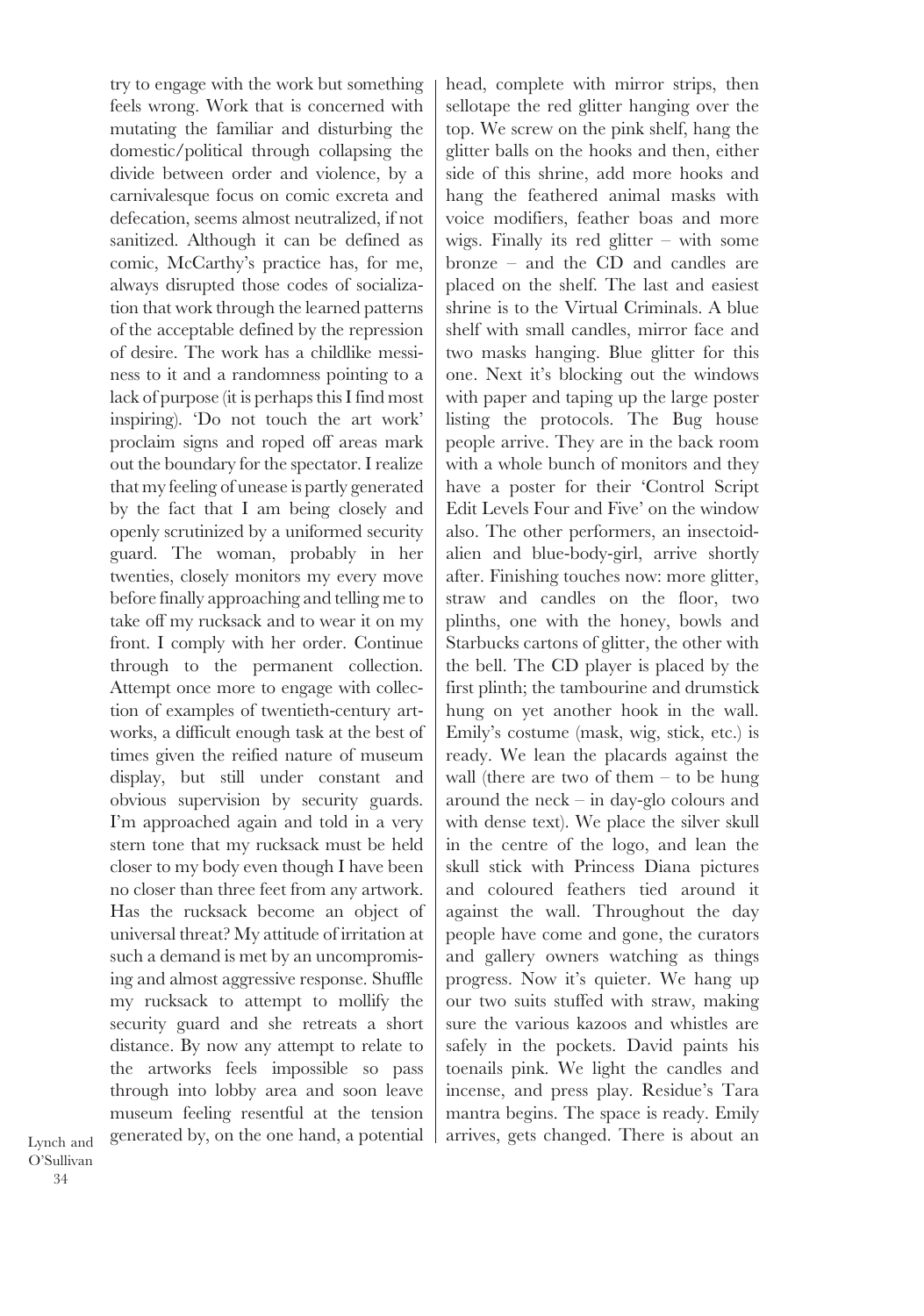try to engage with the work but something feels wrong. Work that is concerned with mutating the familiar and disturbing the domestic/political through collapsing the divide between order and violence, by a carnivalesque focus on comic excreta and defecation, seems almost neutralized, if not sanitized. Although it can be defined as comic, McCarthy's practice has, for me, always disrupted those codes of socialization that work through the learned patterns of the acceptable defined by the repression of desire. The work has a childlike messiness to it and a randomness pointing to a lack of purpose (it is perhaps this I find most inspiring). 'Do not touch the art work' proclaim signs and roped off areas mark out the boundary for the spectator. I realize that my feeling of unease is partly generated by the fact that I am being closely and openly scrutinized by a uniformed security guard. The woman, probably in her twenties, closely monitors my every move before finally approaching and telling me to take off my rucksack and to wear it on my front. I comply with her order. Continue through to the permanent collection. Attempt once more to engage with collection of examples of twentieth-century artworks, a difficult enough task at the best of times given the reified nature of museum display, but still under constant and obvious supervision by security guards. I'm approached again and told in a very stern tone that my rucksack must be held closer to my body even though I have been no closer than three feet from any artwork. Has the rucksack become an object of universal threat? My attitude of irritation at such a demand is met by an uncompromising and almost aggressive response. Shuffle my rucksack to attempt to mollify the security guard and she retreats a short distance. By now any attempt to relate to the artworks feels impossible so pass through into lobby area and soon leave museum feeling resentful at the tension  $L$ <sub>ynch and</sub> generated by, on the one hand, a potential  $\mid$  arrives, gets changed. There is about an

head, complete with mirror strips, then sellotape the red glitter hanging over the top. We screw on the pink shelf, hang the glitter balls on the hooks and then, either side of this shrine, add more hooks and hang the feathered animal masks with voice modifiers, feather boas and more wigs. Finally its red glitter – with some bronze – and the CD and candles are placed on the shelf. The last and easiest shrine is to the Virtual Criminals. A blue shelf with small candles, mirror face and two masks hanging. Blue glitter for this one. Next it's blocking out the windows with paper and taping up the large poster listing the protocols. The Bug house people arrive. They are in the back room with a whole bunch of monitors and they have a poster for their 'Control Script Edit Levels Four and Five' on the window also. The other performers, an insectoidalien and blue-body-girl, arrive shortly after. Finishing touches now: more glitter, straw and candles on the floor, two plinths, one with the honey, bowls and Starbucks cartons of glitter, the other with the bell. The CD player is placed by the first plinth; the tambourine and drumstick hung on yet another hook in the wall. Emily's costume (mask, wig, stick, etc.) is ready. We lean the placards against the wall (there are two of them – to be hung around the neck – in day-glo colours and with dense text). We place the silver skull in the centre of the logo, and lean the skull stick with Princess Diana pictures and coloured feathers tied around it against the wall. Throughout the day people have come and gone, the curators and gallery owners watching as things progress. Now it's quieter. We hang up our two suits stuffed with straw, making sure the various kazoos and whistles are safely in the pockets. David paints his toenails pink. We light the candles and incense, and press play. Residue's Tara mantra begins. The space is ready. Emily

O'Sullivan 34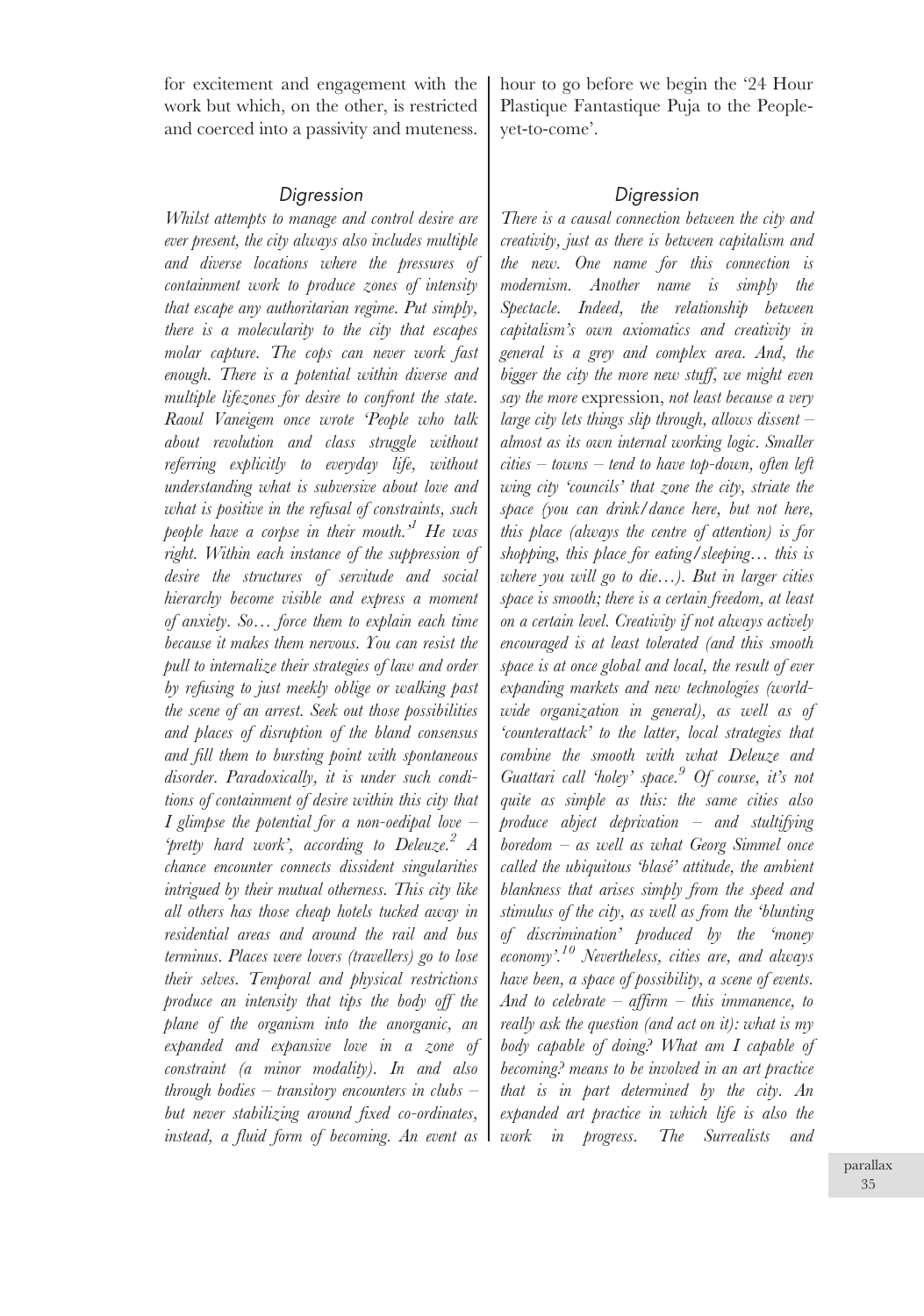for excitement and engagement with the work but which, on the other, is restricted and coerced into a passivity and muteness.

#### **Digression**

Whilst attempts to manage and control desire are ever present, the city always also includes multiple and diverse locations where the pressures of containment work to produce zones of intensity that escape any authoritarian regime. Put simply, there is a molecularity to the city that escapes molar capture. The cops can never work fast enough. There is a potential within diverse and multiple lifezones for desire to confront the state. Raoul Vaneigem once wrote 'People who talk about revolution and class struggle without referring explicitly to everyday life, without understanding what is subversive about love and what is positive in the refusal of constraints, such people have a corpse in their mouth.<sup>31</sup> He was right. Within each instance of the suppression of desire the structures of servitude and social hierarchy become visible and express a moment of anxiety. So… force them to explain each time because it makes them nervous. You can resist the pull to internalize their strategies of law and order by refusing to just meekly oblige or walking past the scene of an arrest. Seek out those possibilities and places of disruption of the bland consensus and fill them to bursting point with spontaneous disorder. Paradoxically, it is under such conditions of containment of desire within this city that I glimpse the potential for a non-oedipal love  $-$ 'pretty hard work', according to Deleuze.<sup>2</sup> A chance encounter connects dissident singularities intrigued by their mutual otherness. This city like all others has those cheap hotels tucked away in residential areas and around the rail and bus terminus. Places were lovers (travellers) go to lose their selves. Temporal and physical restrictions produce an intensity that tips the body off the plane of the organism into the anorganic, an expanded and expansive love in a zone of constraint (a minor modality). In and also through bodies  $-$  transitory encounters in clubs  $$ but never stabilizing around fixed co-ordinates, instead, a fluid form of becoming. An event as hour to go before we begin the '24 Hour Plastique Fantastique Puja to the Peopleyet-to-come'.

#### **Digression**

There is a causal connection between the city and creativity, just as there is between capitalism and the new. One name for this connection is modernism. Another name is simply the Spectacle. Indeed, the relationship between capitalism's own axiomatics and creativity in general is a grey and complex area. And, the bigger the city the more new stuff, we might even say the more expression, not least because a very large city lets things slip through, allows dissent  $$ almost as its own internal working logic. Smaller  $cities - towns - tend to have to b-down, often left$ wing city 'councils' that zone the city, striate the space (you can drink/dance here, but not here, this place (always the centre of attention) is for shopping, this place for eating/sleeping… this is where you will go to die…). But in larger cities space is smooth; there is a certain freedom, at least on a certain level. Creativity if not always actively encouraged is at least tolerated (and this smooth space is at once global and local, the result of ever expanding markets and new technologies (worldwide organization in general), as well as of 'counterattack' to the latter, local strategies that combine the smooth with what Deleuze and Guattari call 'holey' space.<sup>9</sup> Of course, it's not quite as simple as this: the same cities also  $produce$  abject deprivation  $-$  and stultifying  $boredom - as$  well as what Georg Simmel once called the ubiquitous 'blasé' attitude, the ambient blankness that arises simply from the speed and stimulus of the city, as well as from the 'blunting of discrimination' produced by the 'money economy'.<sup>10</sup> Nevertheless, cities are, and always have been, a space of possibility, a scene of events. And to celebrate – affirm – this immanence, to really ask the question (and act on it): what is my body capable of doing? What am I capable of becoming? means to be involved in an art practice that is in part determined by the city. An expanded art practice in which life is also the work in progress. The Surrealists and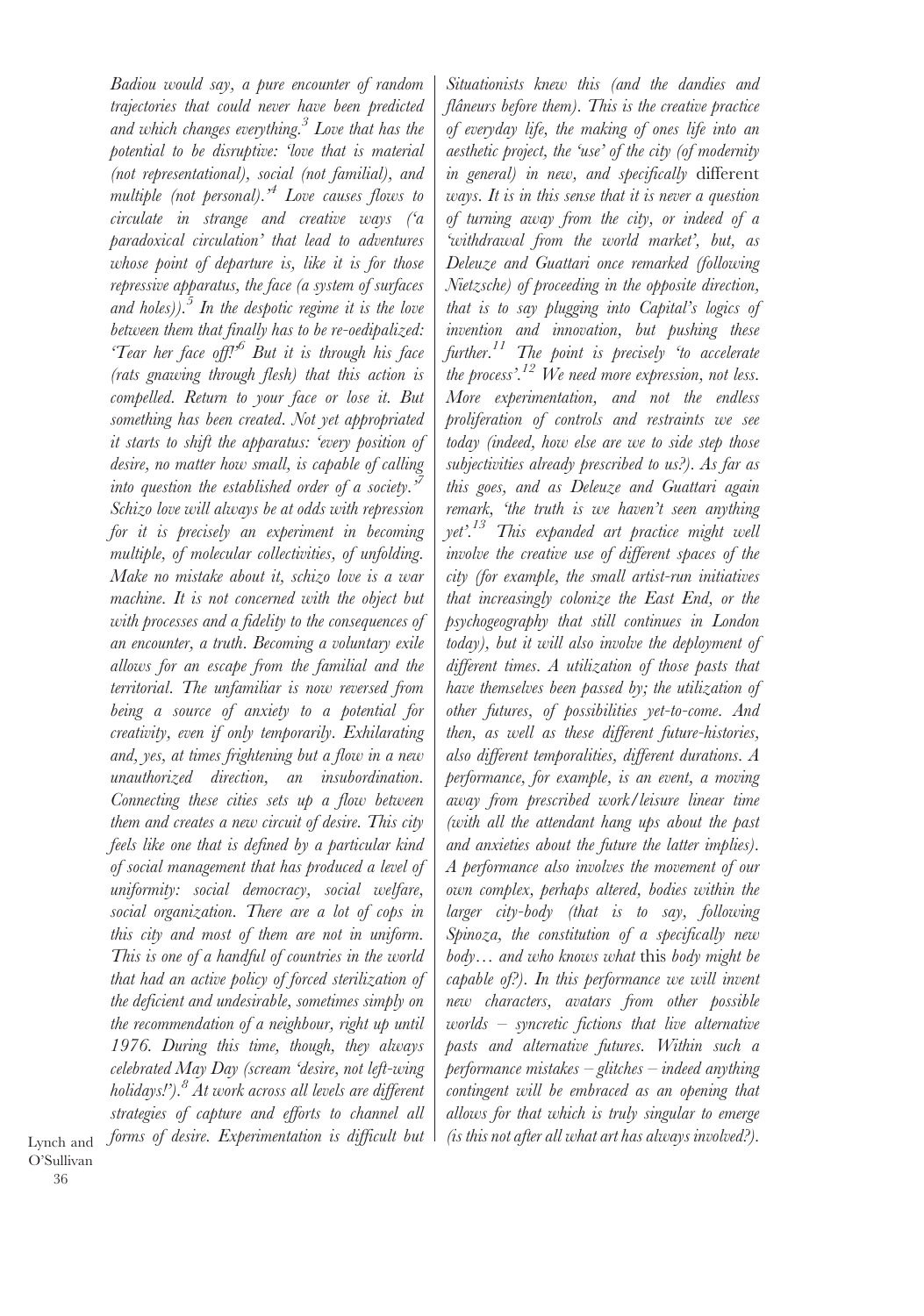Badiou would say, a pure encounter of random trajectories that could never have been predicted and which changes everything.<sup>3</sup> Love that has the potential to be disruptive: 'love that is material (not representational), social (not familial), and multiple (not personal).<sup> $A$ </sup> Love causes flows to circulate in strange and creative ways ('a paradoxical circulation' that lead to adventures whose point of departure is, like it is for those repressive apparatus, the face (a system of surfaces and holes)).<sup>5</sup> In the despotic regime it is the love between them that finally has to be re-oedipalized: 'Tear her face off!'<sup>6</sup> But it is through his face (rats gnawing through flesh) that this action is compelled. Return to your face or lose it. But something has been created. Not yet appropriated it starts to shift the apparatus: 'every position of desire, no matter how small, is capable of calling into question the established order of a society.<sup>57</sup> Schizo love will always be at odds with repression for it is precisely an experiment in becoming multiple, of molecular collectivities, of unfolding. Make no mistake about it, schizo love is a war machine. It is not concerned with the object but with processes and a fidelity to the consequences of an encounter, a truth. Becoming a voluntary exile allows for an escape from the familial and the territorial. The unfamiliar is now reversed from being a source of anxiety to a potential for creativity, even if only temporarily. Exhilarating and, yes, at times frightening but a flow in a new unauthorized direction, an insubordination. Connecting these cities sets up a flow between them and creates a new circuit of desire. This city feels like one that is defined by a particular kind of social management that has produced a level of uniformity: social democracy, social welfare, social organization. There are a lot of cops in this city and most of them are not in uniform. This is one of a handful of countries in the world that had an active policy of forced sterilization of the deficient and undesirable, sometimes simply on the recommendation of a neighbour, right up until 1976. During this time, though, they always celebrated May Day (scream 'desire, not left-wing holidays!").<sup>8</sup> At work across all levels are different strategies of capture and efforts to channel all Lynch and *forms of desire. Experimentation is difficult but*  $\mid$  *(is this not after all what art has always involved?).* 

Situationists knew this (and the dandies and flâneurs before them). This is the creative practice of everyday life, the making of ones life into an aesthetic project, the 'use' of the city (of modernity in general) in new, and specifically different ways. It is in this sense that it is never a question of turning away from the city, or indeed of a 'withdrawal from the world market', but, as Deleuze and Guattari once remarked (following Nietzsche) of proceeding in the opposite direction, that is to say plugging into Capital's logics of invention and innovation, but pushing these further.<sup>11</sup> The point is precisely to accelerate the process'.<sup>12</sup> We need more expression, not less. More experimentation, and not the endless proliferation of controls and restraints we see today (indeed, how else are we to side step those subjectivities already prescribed to us?). As far as this goes, and as Deleuze and Guattari again remark, 'the truth is we haven't seen anything  $yet<sup>13</sup>$  This expanded art practice might well involve the creative use of different spaces of the city (for example, the small artist-run initiatives that increasingly colonize the East End, or the psychogeography that still continues in London today), but it will also involve the deployment of different times. A utilization of those pasts that have themselves been passed by; the utilization of other futures, of possibilities yet-to-come. And then, as well as these different future-histories, also different temporalities, different durations. A performance, for example, is an event, a moving away from prescribed work/leisure linear time (with all the attendant hang ups about the past and anxieties about the future the latter implies). A performance also involves the movement of our own complex, perhaps altered, bodies within the larger city-body (that is to say, following Spinoza, the constitution of a specifically new body... and who knows what this body might be capable of?). In this performance we will invent new characters, avatars from other possible worlds – syncretic fictions that live alternative pasts and alternative futures. Within such a performance mistakes – glitches – indeed anything contingent will be embraced as an opening that allows for that which is truly singular to emerge

O'Sullivan

36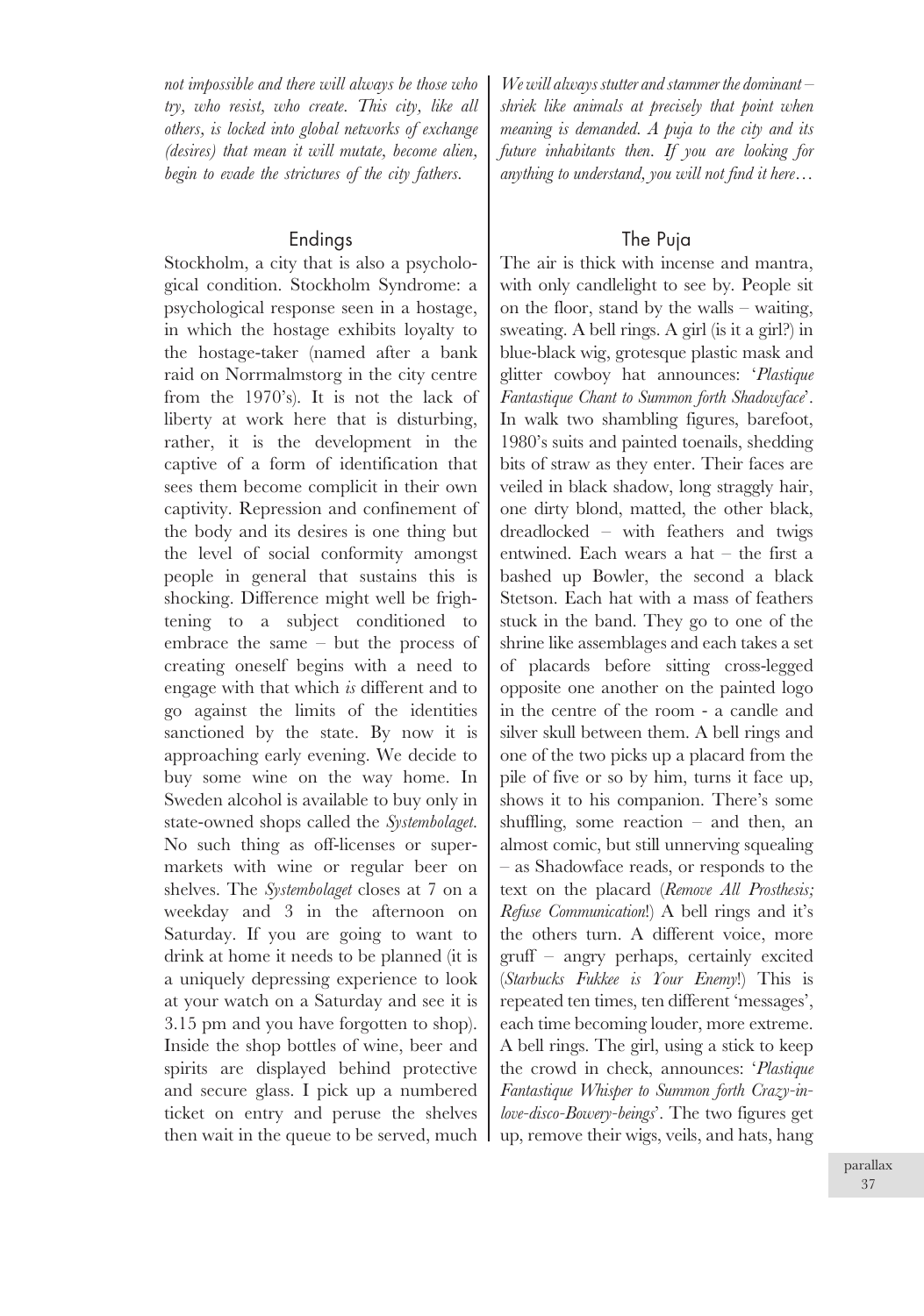not impossible and there will always be those who try, who resist, who create. This city, like all others, is locked into global networks of exchange (desires) that mean it will mutate, become alien, begin to evade the strictures of the city fathers.

### **Endinas**

Stockholm, a city that is also a psychological condition. Stockholm Syndrome: a psychological response seen in a hostage, in which the hostage exhibits loyalty to the hostage-taker (named after a bank raid on Norrmalmstorg in the city centre from the 1970's). It is not the lack of liberty at work here that is disturbing, rather, it is the development in the captive of a form of identification that sees them become complicit in their own captivity. Repression and confinement of the body and its desires is one thing but the level of social conformity amongst people in general that sustains this is shocking. Difference might well be frightening to a subject conditioned to embrace the same – but the process of creating oneself begins with a need to engage with that which is different and to go against the limits of the identities sanctioned by the state. By now it is approaching early evening. We decide to buy some wine on the way home. In Sweden alcohol is available to buy only in state-owned shops called the Systembolaget. No such thing as off-licenses or supermarkets with wine or regular beer on shelves. The Systembolaget closes at 7 on a weekday and 3 in the afternoon on Saturday. If you are going to want to drink at home it needs to be planned (it is a uniquely depressing experience to look at your watch on a Saturday and see it is 3.15 pm and you have forgotten to shop). Inside the shop bottles of wine, beer and spirits are displayed behind protective and secure glass. I pick up a numbered ticket on entry and peruse the shelves then wait in the queue to be served, much

We will always stutter and stammer the dominant  $$ shriek like animals at precisely that point when meaning is demanded. A puja to the city and its future inhabitants then. If you are looking for anything to understand, you will not find it here…

## The Puja

The air is thick with incense and mantra, with only candlelight to see by. People sit on the floor, stand by the walls – waiting, sweating. A bell rings. A girl (is it a girl?) in blue-black wig, grotesque plastic mask and glitter cowboy hat announces: 'Plastique Fantastique Chant to Summon forth Shadowface'. In walk two shambling figures, barefoot, 1980's suits and painted toenails, shedding bits of straw as they enter. Their faces are veiled in black shadow, long straggly hair, one dirty blond, matted, the other black, dreadlocked – with feathers and twigs entwined. Each wears a hat – the first a bashed up Bowler, the second a black Stetson. Each hat with a mass of feathers stuck in the band. They go to one of the shrine like assemblages and each takes a set of placards before sitting cross-legged opposite one another on the painted logo in the centre of the room - a candle and silver skull between them. A bell rings and one of the two picks up a placard from the pile of five or so by him, turns it face up, shows it to his companion. There's some shuffling, some reaction – and then, an almost comic, but still unnerving squealing – as Shadowface reads, or responds to the text on the placard (Remove All Prosthesis; Refuse Communication!) A bell rings and it's the others turn. A different voice, more gruff – angry perhaps, certainly excited (Starbucks Fukkee is Your Enemy!) This is repeated ten times, ten different 'messages', each time becoming louder, more extreme. A bell rings. The girl, using a stick to keep the crowd in check, announces: 'Plastique Fantastique Whisper to Summon forth Crazy-inlove-disco-Bowery-beings'. The two figures get up, remove their wigs, veils, and hats, hang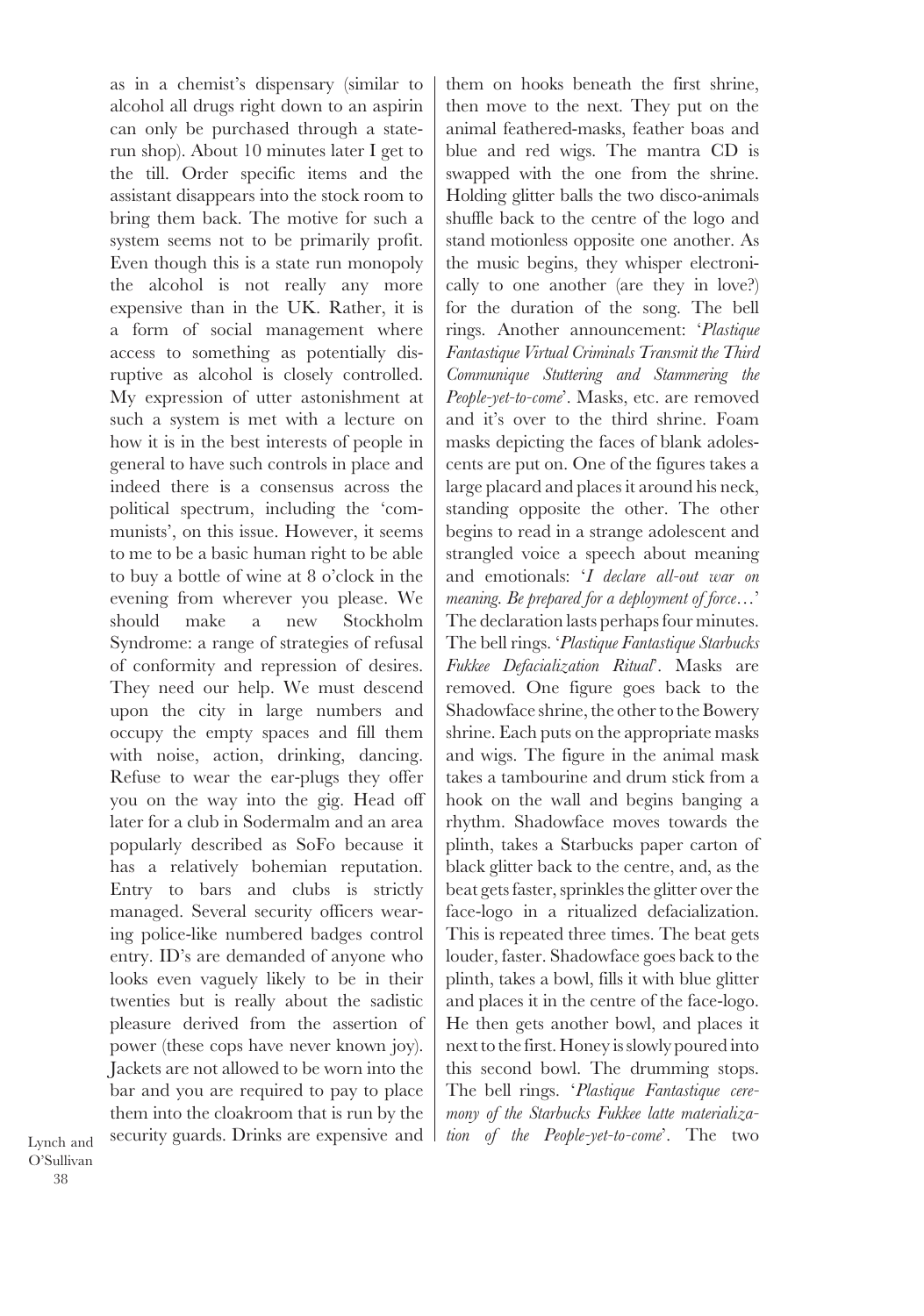as in a chemist's dispensary (similar to alcohol all drugs right down to an aspirin can only be purchased through a staterun shop). About 10 minutes later I get to the till. Order specific items and the assistant disappears into the stock room to bring them back. The motive for such a system seems not to be primarily profit. Even though this is a state run monopoly the alcohol is not really any more expensive than in the UK. Rather, it is a form of social management where access to something as potentially disruptive as alcohol is closely controlled. My expression of utter astonishment at such a system is met with a lecture on how it is in the best interests of people in general to have such controls in place and indeed there is a consensus across the political spectrum, including the 'communists', on this issue. However, it seems to me to be a basic human right to be able to buy a bottle of wine at 8 o'clock in the evening from wherever you please. We should make a new Stockholm Syndrome: a range of strategies of refusal of conformity and repression of desires. They need our help. We must descend upon the city in large numbers and occupy the empty spaces and fill them with noise, action, drinking, dancing. Refuse to wear the ear-plugs they offer you on the way into the gig. Head off later for a club in Sodermalm and an area popularly described as SoFo because it has a relatively bohemian reputation. Entry to bars and clubs is strictly managed. Several security officers wearing police-like numbered badges control entry. ID's are demanded of anyone who looks even vaguely likely to be in their twenties but is really about the sadistic pleasure derived from the assertion of power (these cops have never known joy). Jackets are not allowed to be worn into the bar and you are required to pay to place them into the cloakroom that is run by the  $L$ <sub>ynch and</sub> security guards. Drinks are expensive and  $\mid$  *tion of the People-yet-to-come*'. The two

then move to the next. They put on the animal feathered-masks, feather boas and blue and red wigs. The mantra CD is swapped with the one from the shrine. Holding glitter balls the two disco-animals shuffle back to the centre of the logo and stand motionless opposite one another. As the music begins, they whisper electronically to one another (are they in love?) for the duration of the song. The bell rings. Another announcement: 'Plastique Fantastique Virtual Criminals Transmit the Third Communique Stuttering and Stammering the People-yet-to-come'. Masks, etc. are removed and it's over to the third shrine. Foam masks depicting the faces of blank adolescents are put on. One of the figures takes a large placard and places it around his neck, standing opposite the other. The other begins to read in a strange adolescent and strangled voice a speech about meaning and emotionals: 'I declare all-out war on meaning. Be prepared for a deployment of force...' The declaration lasts perhaps four minutes. The bell rings. 'Plastique Fantastique Starbucks Fukkee Defacialization Ritual'. Masks are removed. One figure goes back to the Shadowface shrine, the other to the Bowery shrine. Each puts on the appropriate masks and wigs. The figure in the animal mask takes a tambourine and drum stick from a hook on the wall and begins banging a rhythm. Shadowface moves towards the plinth, takes a Starbucks paper carton of black glitter back to the centre, and, as the beat gets faster, sprinkles the glitter over the face-logo in a ritualized defacialization. This is repeated three times. The beat gets louder, faster. Shadowface goes back to the plinth, takes a bowl, fills it with blue glitter and places it in the centre of the face-logo. He then gets another bowl, and places it next to the first. Honey is slowly poured into this second bowl. The drumming stops. The bell rings. 'Plastique Fantastique ceremony of the Starbucks Fukkee latte materializa-

them on hooks beneath the first shrine,

O'Sullivan 38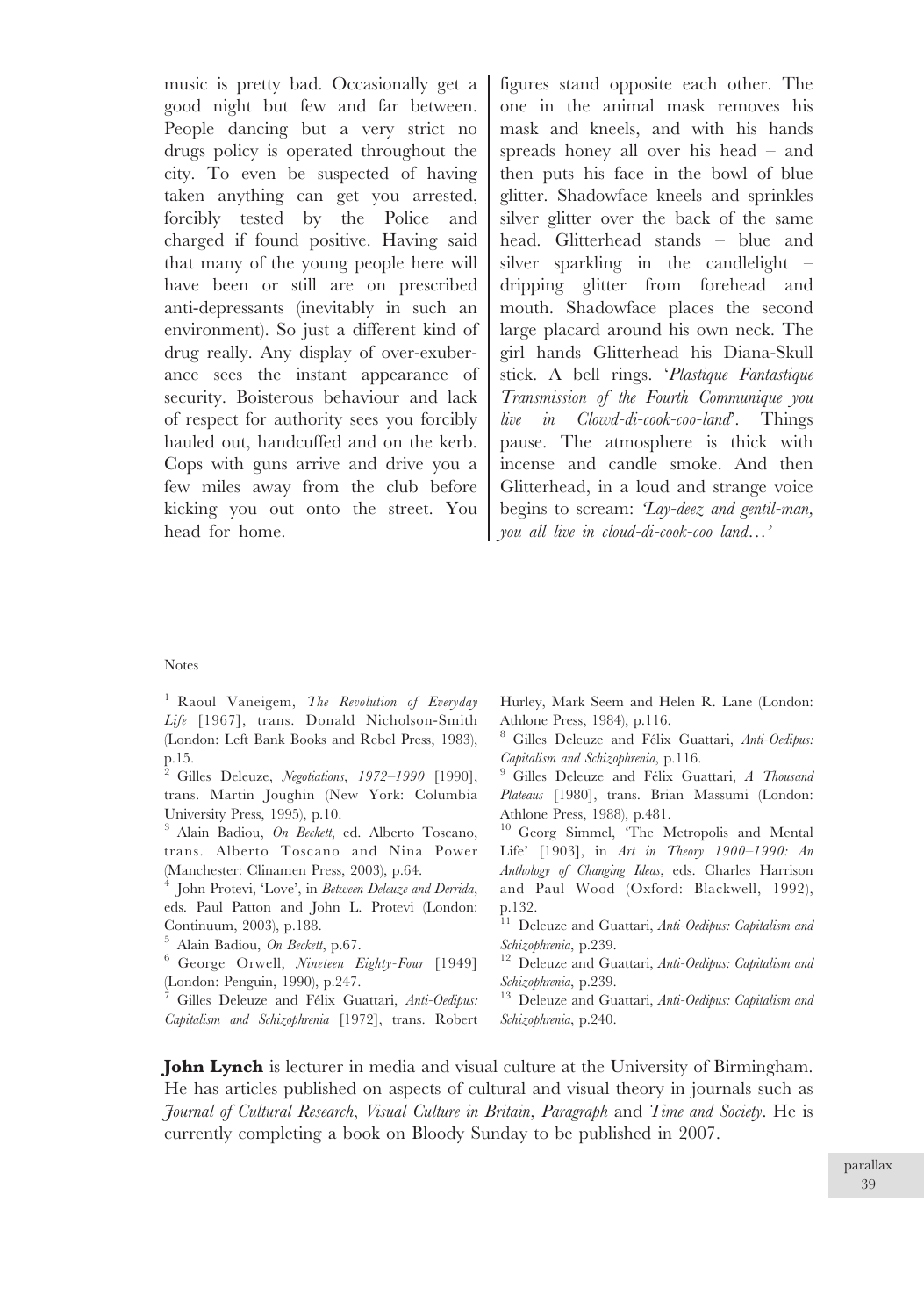music is pretty bad. Occasionally get a good night but few and far between. People dancing but a very strict no drugs policy is operated throughout the city. To even be suspected of having taken anything can get you arrested, forcibly tested by the Police and charged if found positive. Having said that many of the young people here will have been or still are on prescribed anti-depressants (inevitably in such an environment). So just a different kind of drug really. Any display of over-exuberance sees the instant appearance of security. Boisterous behaviour and lack of respect for authority sees you forcibly hauled out, handcuffed and on the kerb. Cops with guns arrive and drive you a few miles away from the club before kicking you out onto the street. You head for home.

figures stand opposite each other. The one in the animal mask removes his mask and kneels, and with his hands spreads honey all over his head – and then puts his face in the bowl of blue glitter. Shadowface kneels and sprinkles silver glitter over the back of the same head. Glitterhead stands – blue and silver sparkling in the candlelight – dripping glitter from forehead and mouth. Shadowface places the second large placard around his own neck. The girl hands Glitterhead his Diana-Skull stick. A bell rings. 'Plastique Fantastique Transmission of the Fourth Communique you live in Clowd-di-cook-coo-land'. Things pause. The atmosphere is thick with incense and candle smoke. And then Glitterhead, in a loud and strange voice begins to scream: 'Lay-deez and gentil-man, you all live in cloud-di-cook-coo land…'

#### Notes

<sup>1</sup> Raoul Vaneigem, The Revolution of Everyday Life [1967], trans. Donald Nicholson-Smith (London: Left Bank Books and Rebel Press, 1983), p.15.

<sup>2</sup> Gilles Deleuze, Negotiations, 1972–1990 [1990], trans. Martin Joughin (New York: Columbia University Press, 1995), p.10.

<sup>3</sup> Alain Badiou, On Beckett, ed. Alberto Toscano, trans. Alberto Toscano and Nina Power (Manchester: Clinamen Press, 2003), p.64.

 $<sup>4</sup>$  John Protevi, 'Love', in Between Deleuze and Derrida,</sup> eds. Paul Patton and John L. Protevi (London: Continuum, 2003), p.188.

 $5$  Alain Badiou, On Beckett, p.67.<br>  $6$  George Orwell, *Nineteen Eighty-Four* [1949] (London: Penguin, 1990), p.247.

<sup>7</sup> Gilles Deleuze and Félix Guattari, Anti-Oedipus: Capitalism and Schizophrenia [1972], trans. Robert

Hurley, Mark Seem and Helen R. Lane (London: Athlone Press, 1984), p.116.

<sup>8</sup> Gilles Deleuze and Félix Guattari, Anti-Oedipus:

Capitalism and Schizophrenia, p.116.<br><sup>9</sup> Gilles Deleuze and Félix Guattari, A Thousand Plateaus [1980], trans. Brian Massumi (London: Athlone Press, 1988), p.481.

<sup>10</sup> Georg Simmel, 'The Metropolis and Mental Life' [1903], in Art in Theory 1900–1990: An Anthology of Changing Ideas, eds. Charles Harrison and Paul Wood (Oxford: Blackwell, 1992), p.132.

<sup>11</sup> Deleuze and Guattari, Anti-Oedipus: Capitalism and

Schizophrenia, p.239.<br><sup>12</sup> Deleuze and Guattari, Anti-Oedipus: Capitalism and Schizophrenia, p.239.<br><sup>13</sup> Deleuze and Guattari, Anti-Oedipus: Capitalism and

Schizophrenia, p.240.

John Lynch is lecturer in media and visual culture at the University of Birmingham. He has articles published on aspects of cultural and visual theory in journals such as Journal of Cultural Research, Visual Culture in Britain, Paragraph and Time and Society. He is currently completing a book on Bloody Sunday to be published in 2007.